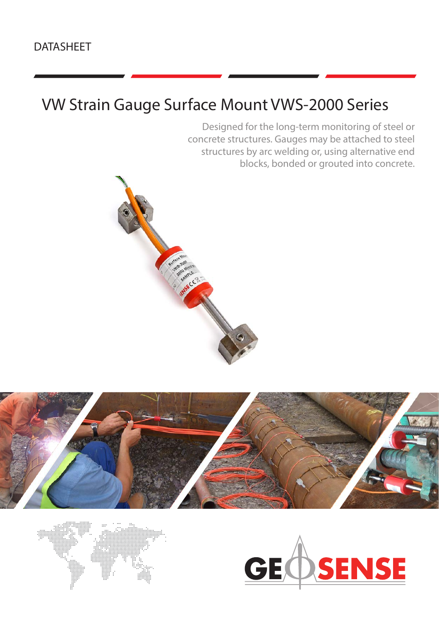Designed for the long-term monitoring of steel or concrete structures. Gauges may be attached to steel structures by arc welding or, using alternative end blocks, bonded or grouted into concrete.







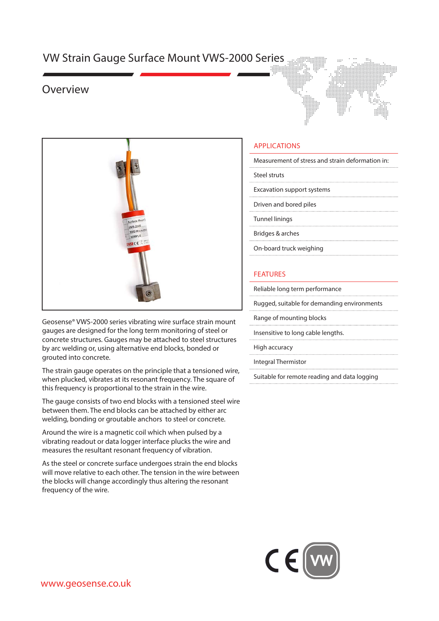### Overview



Geosense® VWS-2000 series vibrating wire surface strain mount gauges are designed for the long term monitoring of steel or concrete structures. Gauges may be attached to steel structures by arc welding or, using alternative end blocks, bonded or grouted into concrete.

The strain gauge operates on the principle that a tensioned wire, when plucked, vibrates at its resonant frequency. The square of this frequency is proportional to the strain in the wire.

The gauge consists of two end blocks with a tensioned steel wire between them. The end blocks can be attached by either arc welding, bonding or groutable anchors to steel or concrete.

Around the wire is a magnetic coil which when pulsed by a vibrating readout or data logger interface plucks the wire and measures the resultant resonant frequency of vibration.

As the steel or concrete surface undergoes strain the end blocks will move relative to each other. The tension in the wire between the blocks will change accordingly thus altering the resonant frequency of the wire.



### APPLICATIONS

| Measurement of stress and strain deformation in: |
|--------------------------------------------------|
|--------------------------------------------------|

Steel struts

Excavation support systems

Driven and bored piles

Tunnel linings

Bridges & arches

On-board truck weighing

#### FEATURES

Reliable long term performance

Rugged, suitable for demanding environments

Range of mounting blocks

Insensitive to long cable lengths.

High accuracy

Integral Thermistor

Suitable for remote reading and data logging

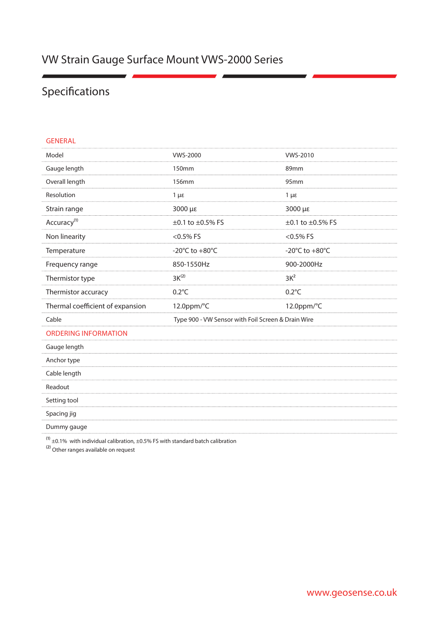# Specifications

#### GENERAL

| Model                            | <b>VWS-2000</b>                                    | <b>VWS-2010</b>                            |
|----------------------------------|----------------------------------------------------|--------------------------------------------|
| Gauge length                     | 150mm                                              | 89mm                                       |
| Overall length                   | <b>156mm</b>                                       | 95mm                                       |
| Resolution                       | $1 \mu \varepsilon$                                | $1 \mu \varepsilon$                        |
| Strain range                     | 3000 με                                            | 3000 με                                    |
| Accuracy <sup>(1)</sup>          | ±0.1 to ±0.5% FS                                   | ±0.1 to ±0.5% FS                           |
| Non linearity                    | $<$ 0.5% FS                                        | $<$ 0.5% FS                                |
| Temperature                      | -20 $\textdegree$ C to +80 $\textdegree$ C         | -20 $\textdegree$ C to +80 $\textdegree$ C |
| Frequency range                  | 850-1550Hz                                         | 900-2000Hz                                 |
| Thermistor type                  | $3K^{(2)}$                                         | $3K^2$                                     |
| Thermistor accuracy              | $0.2^{\circ}$ C                                    | $0.2^{\circ}$ C                            |
| Thermal coefficient of expansion | 12.0ppm/°C                                         | 12.0ppm/°C                                 |
| Cable                            | Type 900 - VW Sensor with Foil Screen & Drain Wire |                                            |
| <b>ORDERING INFORMATION</b>      |                                                    |                                            |
| Gauge length                     |                                                    |                                            |
| Anchor type                      |                                                    |                                            |
| Cable length                     |                                                    |                                            |
| Readout                          |                                                    |                                            |
| Setting tool                     |                                                    |                                            |
| Spacing jig                      |                                                    |                                            |
| Dummy gauge                      |                                                    |                                            |

 $^{(1)}$  ±0.1% with individual calibration, ±0.5% FS with standard batch calibration

⁽2) Other ranges available on request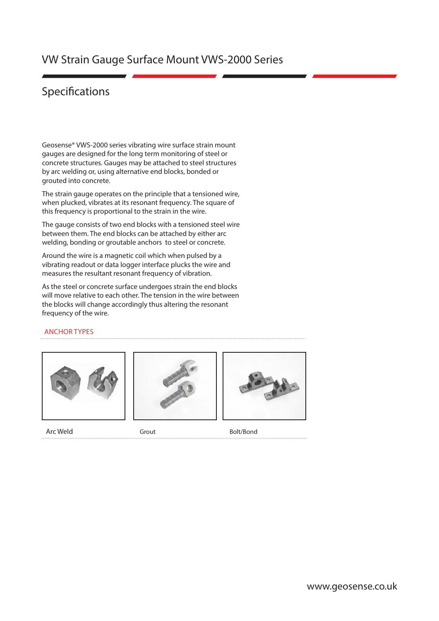### Specifications

Geosense® VWS-2000 series vibrating wire surface strain mount gauges are designed for the long term monitoring of steel or concrete structures. Gauges may be attached to steel structures by arc welding or, using alternative end blocks, bonded or grouted into concrete.

The strain gauge operates on the principle that a tensioned wire, when plucked, vibrates at its resonant frequency. The square of this frequency is proportional to the strain in the wire.

The gauge consists of two end blocks with a tensioned steel wire between them. The end blocks can be attached by either arc welding, bonding or groutable anchors to steel or concrete.

Around the wire is a magnetic coil which when pulsed by a vibrating readout or data logger interface plucks the wire and measures the resultant resonant frequency of vibration.

As the steel or concrete surface undergoes strain the end blocks will move relative to each other. The tension in the wire between the blocks will change accordingly thus altering the resonant frequency of the wire.

#### ANCHOR TYPES





Arc Weld Grout Grout Grout Bolt/Bond